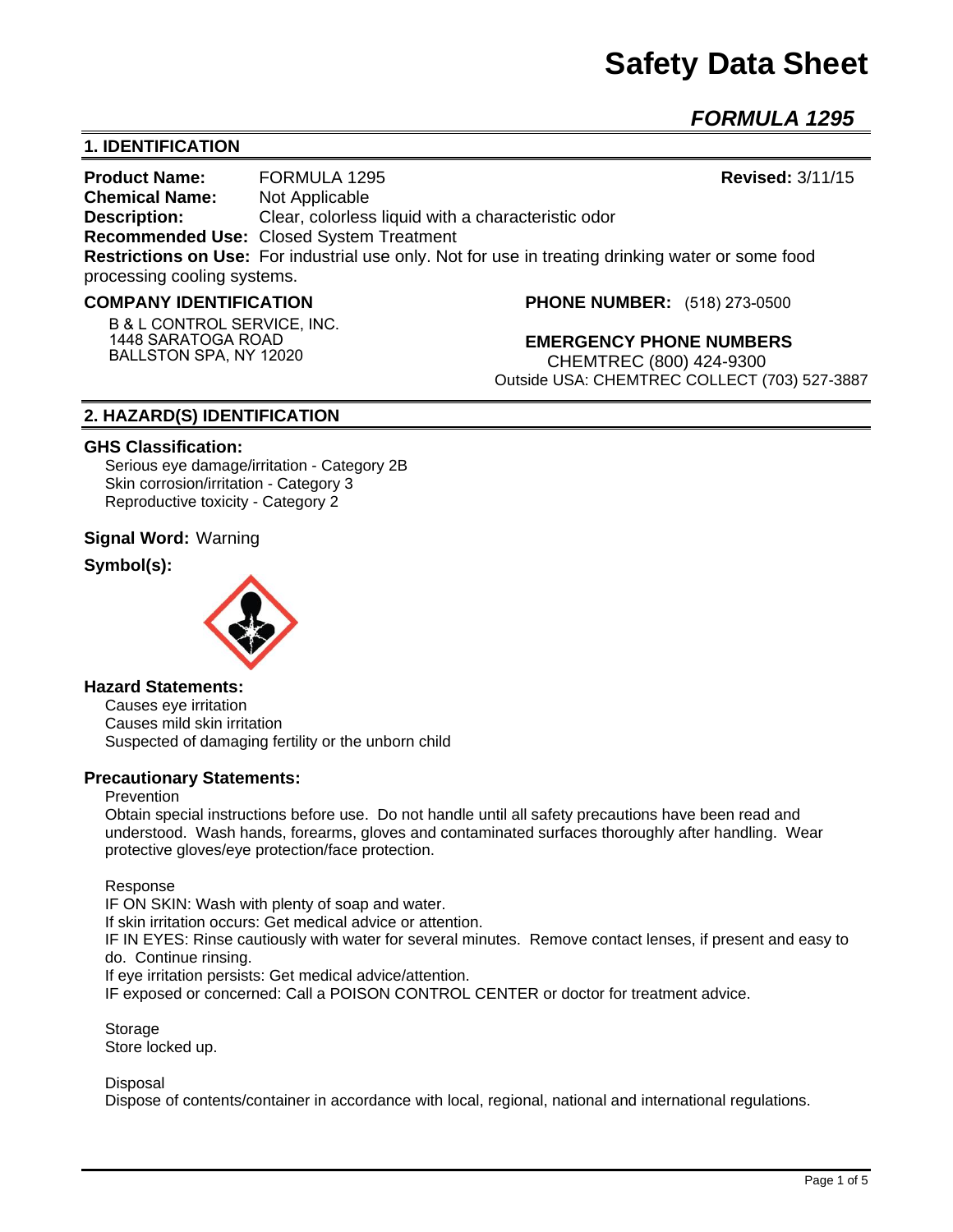# **Safety Data Sheet**

*FORMULA 1295* 

# **1. IDENTIFICATION**

**Product Name:** FORMULA 1295 **Revised:** 3/11/15 **Chemical Name:** Not Applicable **Description:** Clear, colorless liquid with a characteristic odor **Recommended Use:** Closed System Treatment **Restrictions on Use:** For industrial use only. Not for use in treating drinking water or some food processing cooling systems.

#### **COMPANY IDENTIFICATION**

**B & L CONTROL SERVICE, INC. 1448 SARATOGA ROAD BALLSTON SPA, NY 12020**

**PHONE NUMBER:** (518) 273-0500

**EMERGENCY PHONE NUMBERS** CHEMTREC (800) 424-9300 Outside USA: CHEMTREC COLLECT (703) 527-3887

## **2. HAZARD(S) IDENTIFICATION**

#### **GHS Classification:**

Serious eye damage/irritation - Category 2B Skin corrosion/irritation - Category 3 Reproductive toxicity - Category 2

## **Signal Word:** Warning

#### **Symbol(s):**



#### **Hazard Statements:**

Causes eye irritation Causes mild skin irritation Suspected of damaging fertility or the unborn child

#### **Precautionary Statements:**

Prevention

Obtain special instructions before use. Do not handle until all safety precautions have been read and understood. Wash hands, forearms, gloves and contaminated surfaces thoroughly after handling. Wear protective gloves/eye protection/face protection.

Response

IF ON SKIN: Wash with plenty of soap and water. If skin irritation occurs: Get medical advice or attention. IF IN EYES: Rinse cautiously with water for several minutes. Remove contact lenses, if present and easy to do. Continue rinsing. If eye irritation persists: Get medical advice/attention.

IF exposed or concerned: Call a POISON CONTROL CENTER or doctor for treatment advice.

Storage Store locked up.

Disposal Dispose of contents/container in accordance with local, regional, national and international regulations.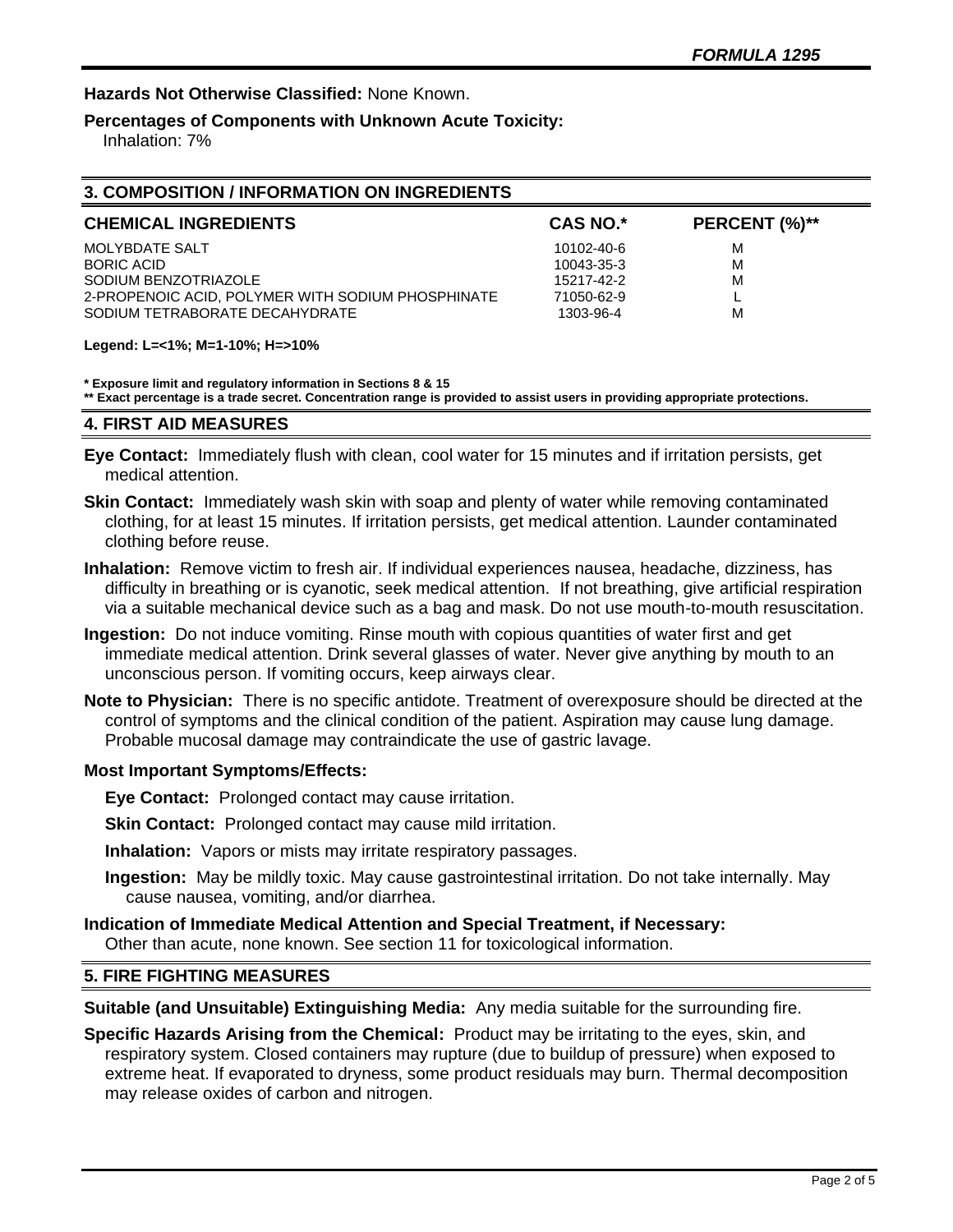## **Hazards Not Otherwise Classified:** None Known.

# **Percentages of Components with Unknown Acute Toxicity:**

Inhalation: 7%

| <b>3. COMPOSITION / INFORMATION ON INGREDIENTS</b> |                 |               |  |  |
|----------------------------------------------------|-----------------|---------------|--|--|
| <b>CHEMICAL INGREDIENTS</b>                        | <b>CAS NO.*</b> | PERCENT (%)** |  |  |
| <b>MOLYBDATE SALT</b>                              | 10102-40-6      | M             |  |  |
| <b>BORIC ACID</b>                                  | 10043-35-3      | M             |  |  |
| SODIUM BENZOTRIAZOLE                               | 15217-42-2      | M             |  |  |
| 2-PROPENOIC ACID, POLYMER WITH SODIUM PHOSPHINATE  | 71050-62-9      |               |  |  |
| SODIUM TETRABORATE DECAHYDRATE                     | 1303-96-4       | M             |  |  |

#### **Legend: L=<1%; M=1-10%; H=>10%**

#### **\* Exposure limit and regulatory information in Sections 8 & 15**

**\*\* Exact percentage is a trade secret. Concentration range is provided to assist users in providing appropriate protections.**

#### **4. FIRST AID MEASURES**

- **Eye Contact:** Immediately flush with clean, cool water for 15 minutes and if irritation persists, get medical attention.
- **Skin Contact:** Immediately wash skin with soap and plenty of water while removing contaminated clothing, for at least 15 minutes. If irritation persists, get medical attention. Launder contaminated clothing before reuse.
- **Inhalation:** Remove victim to fresh air. If individual experiences nausea, headache, dizziness, has difficulty in breathing or is cyanotic, seek medical attention. If not breathing, give artificial respiration via a suitable mechanical device such as a bag and mask. Do not use mouth-to-mouth resuscitation.
- **Ingestion:** Do not induce vomiting. Rinse mouth with copious quantities of water first and get immediate medical attention. Drink several glasses of water. Never give anything by mouth to an unconscious person. If vomiting occurs, keep airways clear.
- **Note to Physician:** There is no specific antidote. Treatment of overexposure should be directed at the control of symptoms and the clinical condition of the patient. Aspiration may cause lung damage. Probable mucosal damage may contraindicate the use of gastric lavage.

## **Most Important Symptoms/Effects:**

**Eye Contact:** Prolonged contact may cause irritation.

**Skin Contact:** Prolonged contact may cause mild irritation.

**Inhalation:** Vapors or mists may irritate respiratory passages.

- **Ingestion:** May be mildly toxic. May cause gastrointestinal irritation. Do not take internally. May cause nausea, vomiting, and/or diarrhea.
- **Indication of Immediate Medical Attention and Special Treatment, if Necessary:**

Other than acute, none known. See section 11 for toxicological information.

## **5. FIRE FIGHTING MEASURES**

**Suitable (and Unsuitable) Extinguishing Media:** Any media suitable for the surrounding fire.

**Specific Hazards Arising from the Chemical:** Product may be irritating to the eyes, skin, and respiratory system. Closed containers may rupture (due to buildup of pressure) when exposed to extreme heat. If evaporated to dryness, some product residuals may burn. Thermal decomposition may release oxides of carbon and nitrogen.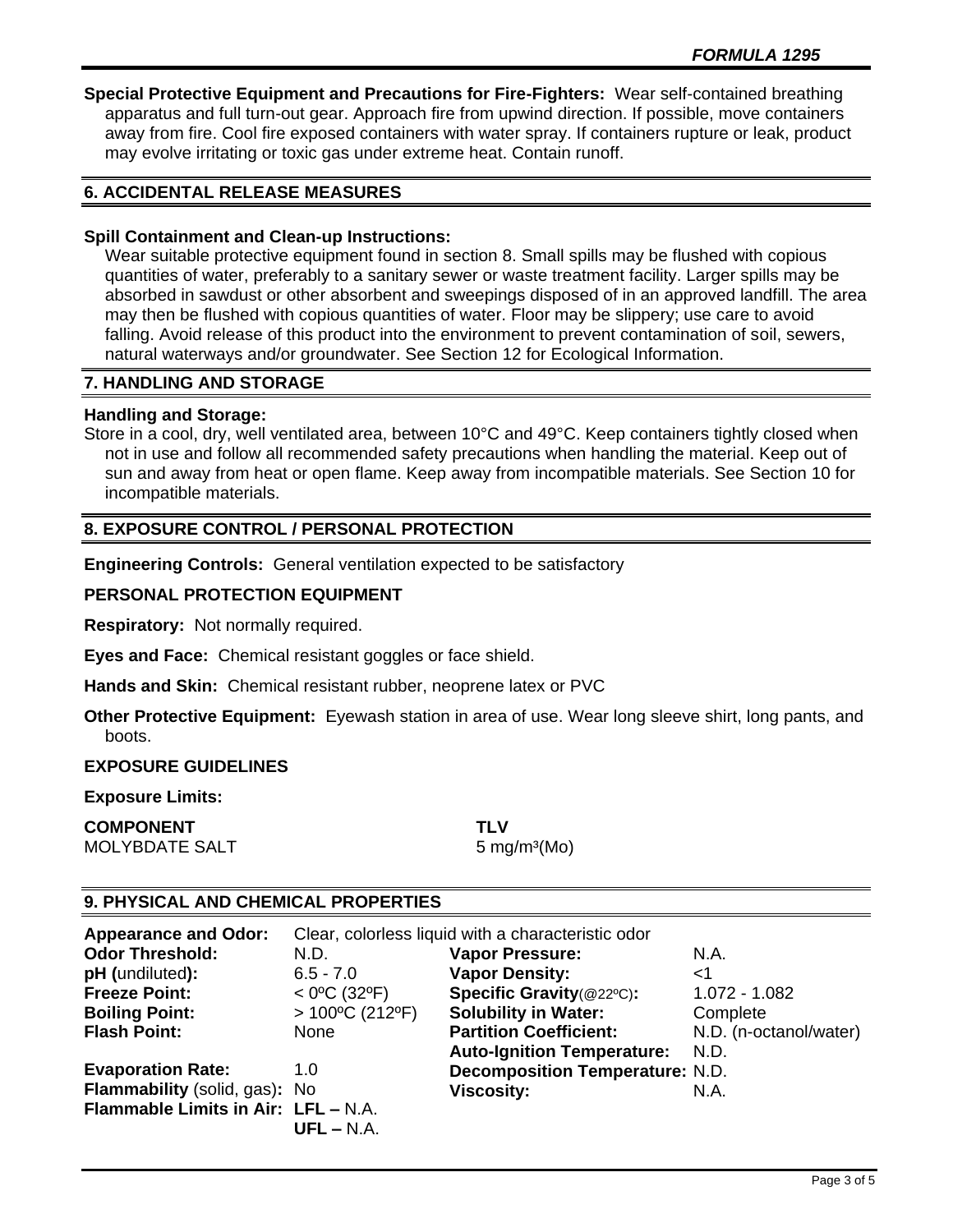**Special Protective Equipment and Precautions for Fire-Fighters:** Wear self-contained breathing apparatus and full turn-out gear. Approach fire from upwind direction. If possible, move containers away from fire. Cool fire exposed containers with water spray. If containers rupture or leak, product may evolve irritating or toxic gas under extreme heat. Contain runoff.

## **6. ACCIDENTAL RELEASE MEASURES**

#### **Spill Containment and Clean-up Instructions:**

Wear suitable protective equipment found in section 8. Small spills may be flushed with copious quantities of water, preferably to a sanitary sewer or waste treatment facility. Larger spills may be absorbed in sawdust or other absorbent and sweepings disposed of in an approved landfill. The area may then be flushed with copious quantities of water. Floor may be slippery; use care to avoid falling. Avoid release of this product into the environment to prevent contamination of soil, sewers, natural waterways and/or groundwater. See Section 12 for Ecological Information.

## **7. HANDLING AND STORAGE**

#### **Handling and Storage:**

Store in a cool, dry, well ventilated area, between 10°C and 49°C. Keep containers tightly closed when not in use and follow all recommended safety precautions when handling the material. Keep out of sun and away from heat or open flame. Keep away from incompatible materials. See Section 10 for incompatible materials.

## **8. EXPOSURE CONTROL / PERSONAL PROTECTION**

**Engineering Controls:** General ventilation expected to be satisfactory

## **PERSONAL PROTECTION EQUIPMENT**

**Respiratory:** Not normally required.

**Eyes and Face:** Chemical resistant goggles or face shield.

**Hands and Skin:** Chemical resistant rubber, neoprene latex or PVC

**Other Protective Equipment:** Eyewash station in area of use. Wear long sleeve shirt, long pants, and boots.

## **EXPOSURE GUIDELINES**

**Exposure Limits:** 

**COMPONENT TLV** MOLYBDATE SALT 5 mg/m<sup>3</sup>(Mo)

# **9. PHYSICAL AND CHEMICAL PROPERTIES**

| <b>Appearance and Odor:</b>         | Clear, colorless liquid with a characteristic odor |                                        |                        |
|-------------------------------------|----------------------------------------------------|----------------------------------------|------------------------|
| <b>Odor Threshold:</b>              | N.D.                                               | <b>Vapor Pressure:</b>                 | N.A.                   |
| pH (undiluted):                     | $6.5 - 7.0$                                        | <b>Vapor Density:</b>                  | <1                     |
| <b>Freeze Point:</b>                | $<$ 0°C (32°F)                                     | Specific Gravity(@22°C):               | 1.072 - 1.082          |
| <b>Boiling Point:</b>               | $> 100^{\circ}$ C (212°F)                          | <b>Solubility in Water:</b>            | Complete               |
| <b>Flash Point:</b>                 | <b>None</b>                                        | <b>Partition Coefficient:</b>          | N.D. (n-octanol/water) |
|                                     |                                                    | <b>Auto-Ignition Temperature:</b>      | N.D.                   |
| <b>Evaporation Rate:</b>            | 1.0                                                | <b>Decomposition Temperature: N.D.</b> |                        |
| Flammability (solid, gas): No       |                                                    | <b>Viscosity:</b>                      | N.A.                   |
| Flammable Limits in Air: LFL - N.A. | $UFL - N.A.$                                       |                                        |                        |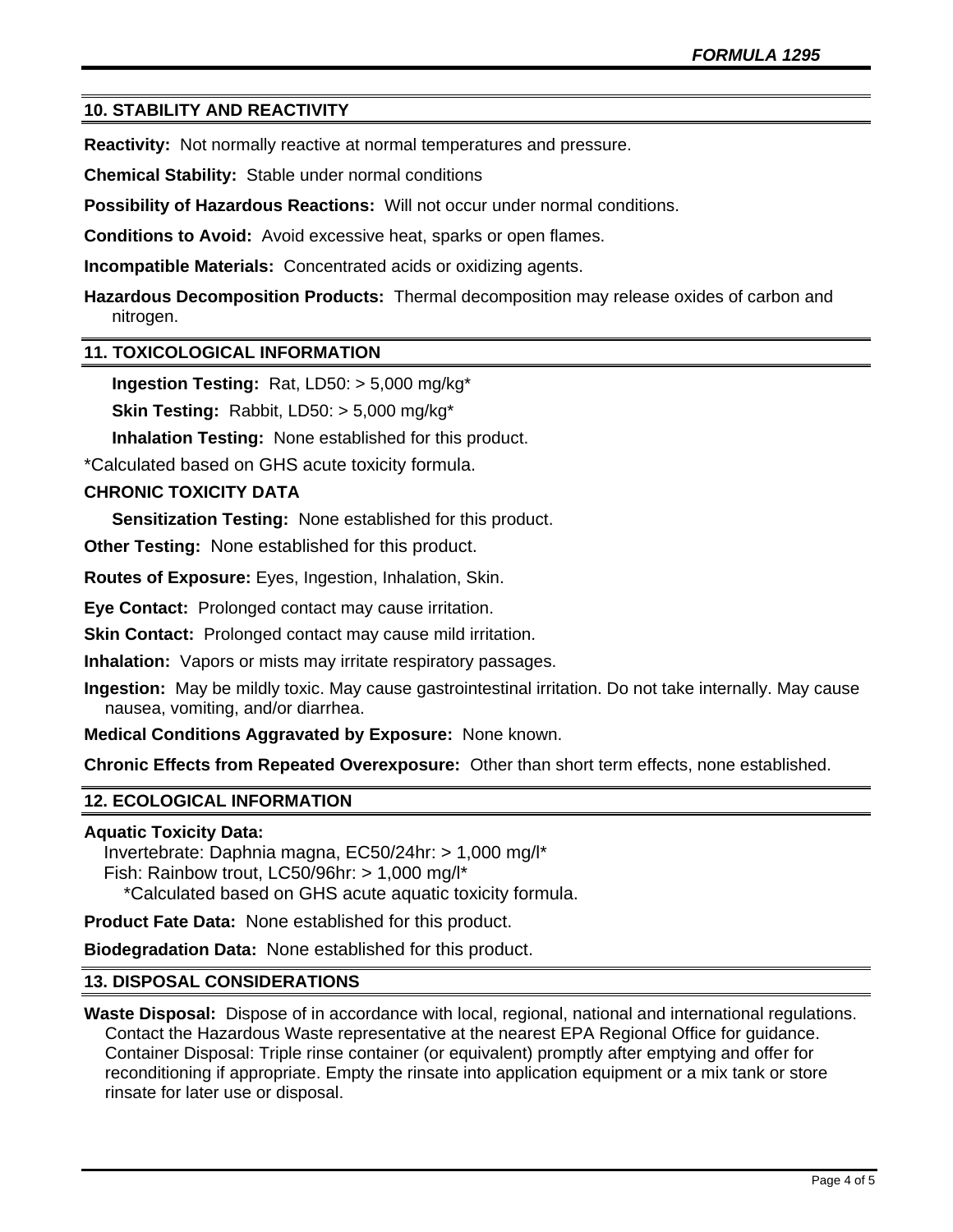# **10. STABILITY AND REACTIVITY**

**Reactivity:** Not normally reactive at normal temperatures and pressure.

**Chemical Stability:** Stable under normal conditions

**Possibility of Hazardous Reactions:** Will not occur under normal conditions.

**Conditions to Avoid:** Avoid excessive heat, sparks or open flames.

**Incompatible Materials:** Concentrated acids or oxidizing agents.

**Hazardous Decomposition Products:** Thermal decomposition may release oxides of carbon and nitrogen.

## **11. TOXICOLOGICAL INFORMATION**

**Ingestion Testing:** Rat, LD50: > 5,000 mg/kg\*

**Skin Testing:** Rabbit, LD50: > 5,000 mg/kg\*

**Inhalation Testing:** None established for this product.

\*Calculated based on GHS acute toxicity formula.

# **CHRONIC TOXICITY DATA**

**Sensitization Testing:** None established for this product.

**Other Testing:** None established for this product.

**Routes of Exposure:** Eyes, Ingestion, Inhalation, Skin.

**Eye Contact:** Prolonged contact may cause irritation.

**Skin Contact:** Prolonged contact may cause mild irritation.

**Inhalation:** Vapors or mists may irritate respiratory passages.

**Ingestion:** May be mildly toxic. May cause gastrointestinal irritation. Do not take internally. May cause nausea, vomiting, and/or diarrhea.

**Medical Conditions Aggravated by Exposure:** None known.

**Chronic Effects from Repeated Overexposure:** Other than short term effects, none established.

# **12. ECOLOGICAL INFORMATION**

## **Aquatic Toxicity Data:**

 Invertebrate: Daphnia magna, EC50/24hr: > 1,000 mg/l\* Fish: Rainbow trout, LC50/96hr: > 1,000 mg/l\* \*Calculated based on GHS acute aquatic toxicity formula.

**Product Fate Data:** None established for this product.

**Biodegradation Data:** None established for this product.

## **13. DISPOSAL CONSIDERATIONS**

**Waste Disposal:** Dispose of in accordance with local, regional, national and international regulations. Contact the Hazardous Waste representative at the nearest EPA Regional Office for guidance. Container Disposal: Triple rinse container (or equivalent) promptly after emptying and offer for reconditioning if appropriate. Empty the rinsate into application equipment or a mix tank or store rinsate for later use or disposal.